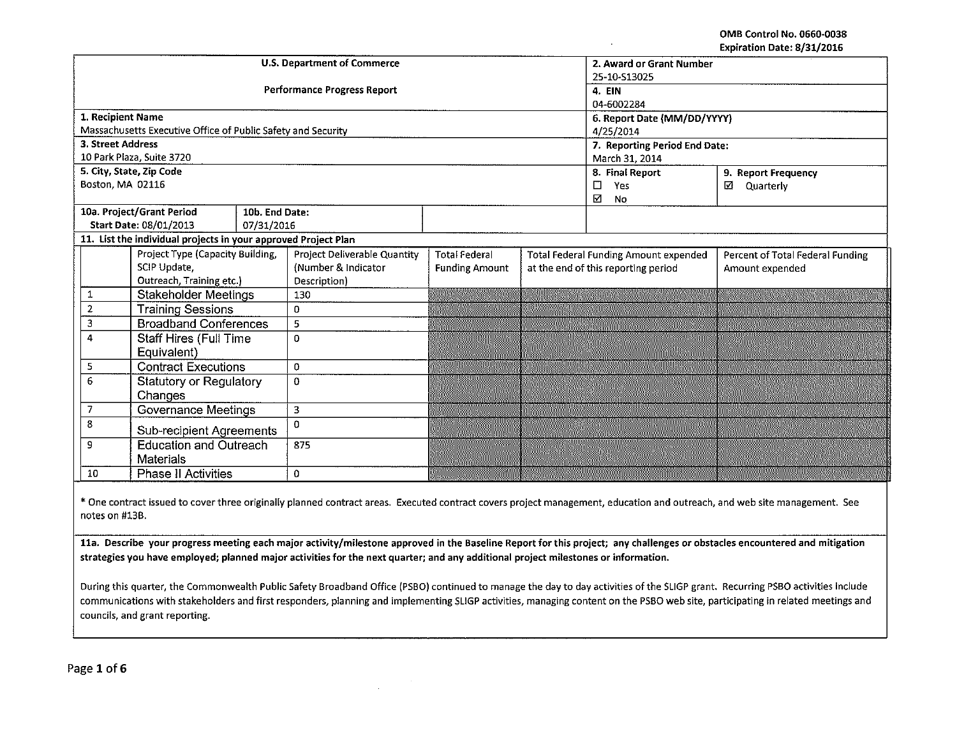OMB Control No. 0660·0038 Expiration Date: 8/31/2016

|                                       |                                                                |                                    |                                    |                             |                                              |                                        | EXPITATION DATE: 0/31/2010 |  |  |  |
|---------------------------------------|----------------------------------------------------------------|------------------------------------|------------------------------------|-----------------------------|----------------------------------------------|----------------------------------------|----------------------------|--|--|--|
|                                       |                                                                |                                    | <b>U.S. Department of Commerce</b> | 2. Award or Grant Number    |                                              |                                        |                            |  |  |  |
|                                       |                                                                |                                    | 25-10-S13025                       |                             |                                              |                                        |                            |  |  |  |
|                                       |                                                                | <b>Performance Progress Report</b> | <b>4. EIN</b>                      |                             |                                              |                                        |                            |  |  |  |
|                                       |                                                                |                                    |                                    | 04-6002284                  |                                              |                                        |                            |  |  |  |
| 1. Recipient Name                     |                                                                |                                    |                                    | 6. Report Date (MM/DD/YYYY) |                                              |                                        |                            |  |  |  |
|                                       | Massachusetts Executive Office of Public Safety and Security   |                                    |                                    |                             |                                              | 4/25/2014                              |                            |  |  |  |
| 3. Street Address                     |                                                                |                                    |                                    |                             |                                              | 7. Reporting Period End Date:          |                            |  |  |  |
|                                       | 10 Park Plaza, Suite 3720                                      |                                    |                                    |                             |                                              | March 31, 2014                         |                            |  |  |  |
|                                       | 5. City, State, Zip Code                                       |                                    |                                    |                             |                                              | 8. Final Report<br>9. Report Frequency |                            |  |  |  |
| Boston, MA 02116                      |                                                                |                                    |                                    |                             |                                              | $\Box$<br>Yes                          | ☑<br>Quarterly             |  |  |  |
|                                       |                                                                |                                    |                                    |                             |                                              | ☑<br>No                                |                            |  |  |  |
|                                       | 10a. Project/Grant Period                                      | 10b. End Date:                     |                                    |                             |                                              |                                        |                            |  |  |  |
|                                       | Start Date: 08/01/2013                                         | 07/31/2016                         |                                    |                             |                                              |                                        |                            |  |  |  |
|                                       | 11. List the individual projects in your approved Project Plan |                                    |                                    |                             |                                              |                                        |                            |  |  |  |
|                                       | Project Type (Capacity Building,                               |                                    | Project Deliverable Quantity       | <b>Total Federal</b>        | <b>Total Federal Funding Amount expended</b> | Percent of Total Federal Funding       |                            |  |  |  |
|                                       | SCIP Update,                                                   |                                    | (Number & Indicator                | <b>Funding Amount</b>       |                                              | at the end of this reporting period    | Amount expended            |  |  |  |
|                                       | Outreach, Training etc.)                                       |                                    | Description)                       |                             |                                              |                                        |                            |  |  |  |
| 1                                     | <b>Stakeholder Meetings</b>                                    |                                    | 130                                |                             |                                              |                                        |                            |  |  |  |
| $\overline{2}$                        | <b>Training Sessions</b>                                       |                                    | 0                                  |                             |                                              |                                        |                            |  |  |  |
| 3                                     | <b>Broadband Conferences</b>                                   |                                    | $\mathbb S$                        |                             |                                              |                                        |                            |  |  |  |
| 4                                     | <b>Staff Hires (Full Time</b>                                  |                                    | $\mathbf 0$                        |                             |                                              |                                        |                            |  |  |  |
|                                       | Equivalent)                                                    |                                    |                                    |                             |                                              |                                        |                            |  |  |  |
| 5                                     | <b>Contract Executions</b>                                     |                                    | 0                                  |                             |                                              |                                        |                            |  |  |  |
| 6                                     | <b>Statutory or Regulatory</b>                                 |                                    | $\mathbf 0$                        |                             |                                              |                                        |                            |  |  |  |
| Changes                               |                                                                |                                    |                                    |                             |                                              |                                        |                            |  |  |  |
| Governance Meetings<br>$\overline{7}$ |                                                                | 3                                  |                                    |                             |                                              |                                        |                            |  |  |  |
| 8                                     | <b>Sub-recipient Agreements</b>                                |                                    | $\Omega$                           |                             |                                              |                                        |                            |  |  |  |
| <b>Education and Outreach</b><br>9    |                                                                | 875                                |                                    |                             |                                              |                                        |                            |  |  |  |
|                                       | <b>Materials</b>                                               |                                    |                                    |                             |                                              |                                        |                            |  |  |  |
| 10<br><b>Phase II Activities</b>      |                                                                |                                    | $\mathbf 0$                        |                             |                                              |                                        |                            |  |  |  |
|                                       |                                                                |                                    |                                    |                             |                                              |                                        |                            |  |  |  |

\*One contract issued to cover three originally planned contract areas. Executed contract covers project management, education and outreach, and web site management. See notes on #13B.

11a. Describe your progress meeting each major activity/milestone approved in the Baseline Report for this project; any challenges or obstacles encountered and mitigation strategies you have employed; planned major activities for the next quarter; and any additional project milestones or information.

During this quarter, the Commonwealth Public Safety Broadband Office (PSBO) continued to manage the day to day activities of the SLIGP grant. Recurring PSBO activities include communications with stakeholders and first responders, planning and implementing SLIGP activities, managing content on the PSBO web site, participating in related meetings and councils, and grant reporting.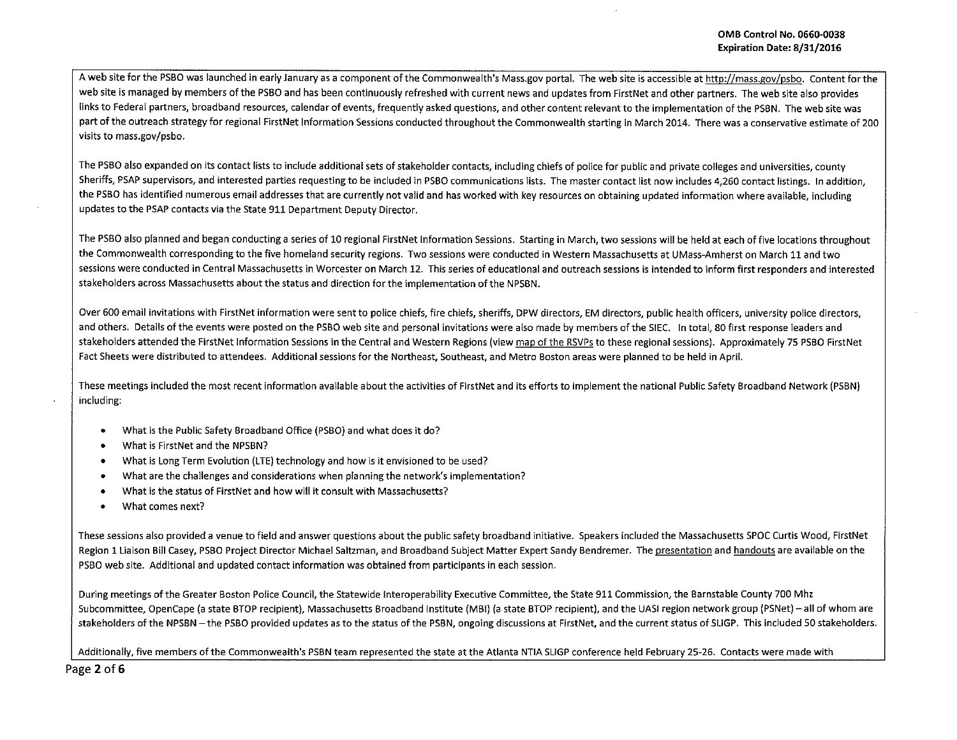A web site for the PSBO was launched in early January as a component of the Commonwealth's Mass.gov portal. The web site is accessible at http://mass.gov/psbo. Content for the web site is managed by members of the PSBO and has been continuously refreshed with current news and updates from FirstNet and other partners. The web site also provides links to Federal partners, broadband resources, calendar of events, frequently asked questions, and other content relevant to the implementation of the PSBN. The web site was part of the outreach strategy for regional FirstNet Information Sessions conducted throughout the Commonwealth starting in March 2014. There was a conservative estimate of 200 visits to mass.gov/psbo.

The PSBO also expanded on its contact lists to include additional sets of stakeholder contacts, including chiefs of police for public and private colleges and universities, county Sheriffs, PSAP supervisors, and interested parties requesting to be included in PSBO communications lists. The master contact list now includes *4,260* contact listings. In addition, the PSBO has identified numerous email addresses that are currently not valid and has worked with key resources on obtaining updated information where available, including updates to the PSAP contacts via the State 911 Department Deputy Director.

The PSBO also planned and began conducting a series of 10 regional FirstNet Information Sessions. Starting in March, two sessions will be held at each of five locations throughout the Commonwealth corresponding to the five homeland security regions. Two sessions were conducted in Western Massachusetts at UMass-Amherst on March 11 and two sessions were conducted in Central Massachusetts in Worcester on March 12. This series of educational and outreach sessions is intended to inform first responders and interested stakeholders across Massachusetts about the status and direction for the implementation of the NPSBN.

Over 600 email invitations with FirstNet information were sent to police chiefs, fire chiefs, sheriffs, DPW directors, EM directors, public health officers, university police directors, and others. Details of the events were posted on the PSBO web site and personal invitations were also made by members of the SIEC. In total, 80 first response leaders and stakeholders attended the FirstNet Information Sessions in the Central and Western Regions (view map of the RSVPs to these regional sessions). Approximately 75 PSBO First Net Fact Sheets were distributed to attendees. Additional sessions for the Northeast, Southeast, and Metro Boston areas were planned to be held in April.

These meetings included the most recent information available about the activities of FirstNet and its efforts to implement the national Public Safety Broadband Network (PSBN) including:

- What is the Public Safety Broadband Office (PSBO) and what does it do?
- What is First Net and the NPSBN?
- What is long Term Evolution (LTE) technology and how is it envisioned to be used?
- What are the challenges and considerations when planning the network's implementation?
- What is the status of FirstNet and how will it consult with Massachusetts?
- What comes next?

These sessions also provided a venue to field and answer questions about the public safety broadband initiative. Speakers included the Massachusetts SPOC Curtis Wood, FirstNet Region 1 Liaison Bill Casey, PSBO Project Director Michael Saltzman, and Broadband Subject Matter Expert Sandy Bendremer. The presentation and handouts are available on the PSBO web site. Additional and updated contact information was obtained from participants in each session.

During meetings ofthe Greater Boston Police Council, the Statewide lnteroperability Executive Committee, the State 911 Commission, the Barnstable County 700 Mhz Subcommittee, OpenCape (a state STOP recipient), Massachusetts Broadband Institute (MBI) (a state STOP recipient), and the UASI region network group (PSNet)- all of whom are stakeholders of the NPSBN - the PSBO provided updates as to the status of the PSBN, ongoing discussions at FirstNet, and the current status of SLIGP. This included 50 stakeholders.

Additionally, five members of the Commonwealth's PSBN team represented the state at the Atlanta NTIA SUGP conference held February 25-26. Contacts were made with

Page 2 of 6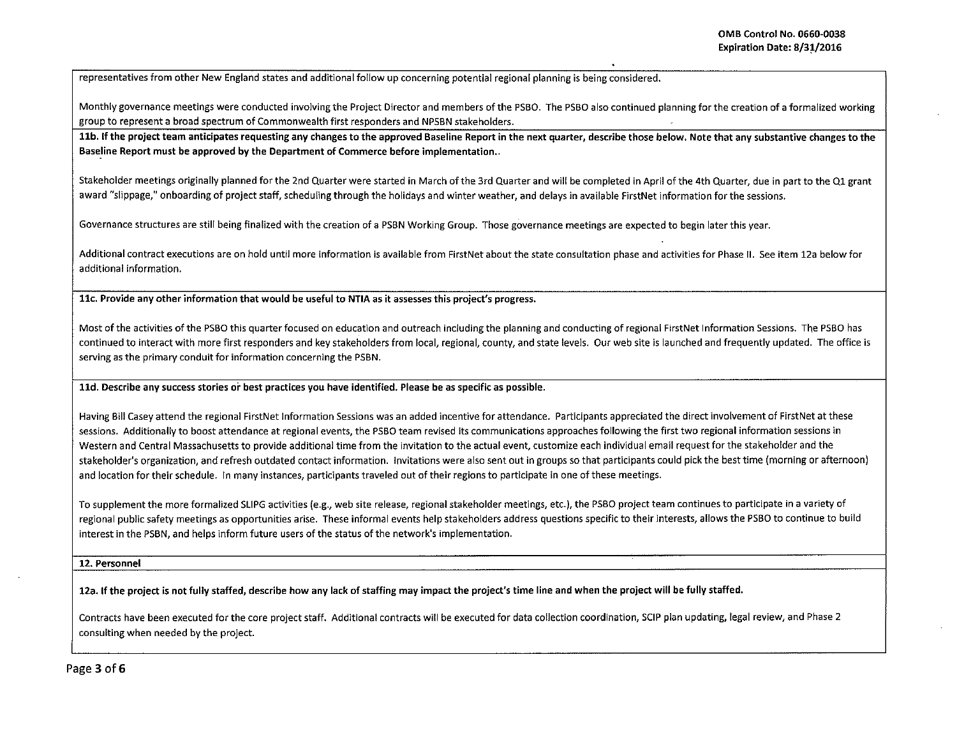representatives from other New England states and additional follow up concerning potential regional planning is being considered.

Monthly governance meetings were conducted involving the Project Director and members of the PSBO. The PSBO also continued planning for the creation of a formalized working group to represent a broad spectrum of Commonwealth first responders and NPSBN stakeholders.

11b. If the project team anticipates requesting any changes to the approved Baseline Report in the next quarter, describe those below. Note that any substantive changes to the Baseline Report must be approved by the Department of Commerce before implementation..

Stakeholder meetings originally planned for the 2nd Quarter were started in March of the 3rd Quarter and will be completed in April of the 4th Quarter, due in part to the Ql grant award "slippage," onboarding of project staff, scheduling through the holidays and winter weather, and delays in available FirstNet information for the sessions.

Governance structures are still being finalized with the creation of a PSBN Working Group. Those governance meetings are expected to begin later this year.

Additional contract executions are on hold until more information is available from FirstNet about the state consultation phase and activities for Phase II. See item 12a below for additional information.

llc. Provide any other information that would be useful to NTIA as it assesses this project's progress.

Most of the activities of the PSBO this quarter focused on education and outreach including the planning and conducting of regional First Net Information Sessions. The PSBO has continued to interact with more first responders and key stakeholders from local, regional, county, and state levels. Our web site is launched and frequently updated. The office is serving as the primary conduit for information concerning the PSBN.

lld. Describe any success stories oi" best practices you have identified. Please be as specific as possible.

Having Bill Casey attend the regional FirstNet Information Sessions was an added incentive for attendance. Participants appreciated the direct involvement of First Net at these sessions. Additionally to boost attendance at regional events, the PSBO team revised its communications approaches following the first two regional information sessions in Western and Central Massachusetts to provide additional time from the invitation to the actual event, customize each individual email request for the stakeholder and the stakeholder's organization, and refresh outdated contact information. Invitations were also sent out in groups so that participants could pick the best time (morning or afternoon) and location for their schedule. In many instances, participants traveled out of their regions to participate in one of these meetings.

To supplement the more formalized SLIPG activities (e.g., web site release, regional stakeholder meetings, etc.), the PSBO project team continues to participate in a variety of regional public safety meetings as opportunities arise. These informal events help stakeholders address questions specific to their interests, allows the PSBO to continue to build interest in the PSBN, and helps inform future users of the status of the network's implementation.

## 12. Personnel

12a. If the project is not fully staffed, describe how any lack of staffing may impact the project's time line and when the project will be fully staffed.

Contracts have been executed for the core project staff. Additional contracts will be executed for data collection coordination, SClP plan updating, legal review, and Phase 2 consulting when needed by the project.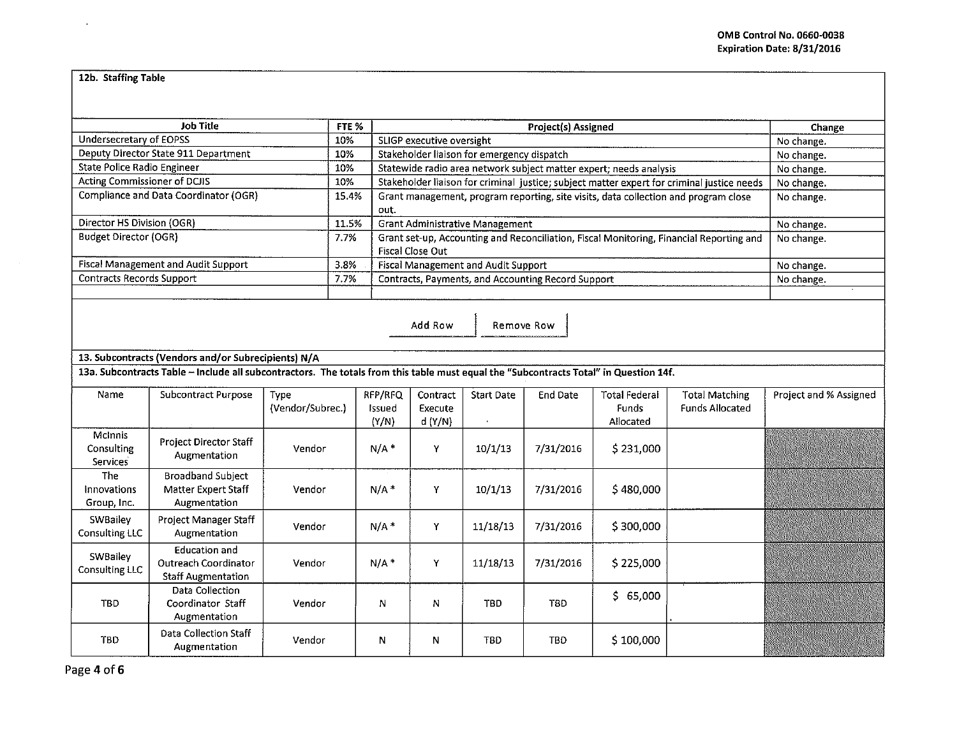## 12b. Staffing Table

÷.

| <b>Job Title</b>                                |                                                                                                                                       |                                 | FTE % |                                                                  | Project(s) Assigned                                                                                         |                   |            |                                            |                                          | Change                 |  |
|-------------------------------------------------|---------------------------------------------------------------------------------------------------------------------------------------|---------------------------------|-------|------------------------------------------------------------------|-------------------------------------------------------------------------------------------------------------|-------------------|------------|--------------------------------------------|------------------------------------------|------------------------|--|
| Undersecretary of EOPSS                         |                                                                                                                                       |                                 | 10%   |                                                                  | SLIGP executive oversight                                                                                   | No change.        |            |                                            |                                          |                        |  |
|                                                 | Deputy Director State 911 Department                                                                                                  |                                 | 10%   |                                                                  | Stakeholder liaison for emergency dispatch                                                                  | No change.        |            |                                            |                                          |                        |  |
| State Police Radio Engineer                     |                                                                                                                                       |                                 | 10%   |                                                                  | Statewide radio area network subject matter expert; needs analysis                                          | No change.        |            |                                            |                                          |                        |  |
| Acting Commissioner of DCJIS                    |                                                                                                                                       |                                 | 10%   |                                                                  | Stakeholder liaison for criminal justice; subject matter expert for criminal justice needs                  | No change.        |            |                                            |                                          |                        |  |
|                                                 | Compliance and Data Coordinator (OGR)                                                                                                 |                                 | 15.4% | out.                                                             | Grant management, program reporting, site visits, data collection and program close                         | No change.        |            |                                            |                                          |                        |  |
| Director HS Division (OGR)                      |                                                                                                                                       |                                 | 11.5% |                                                                  | <b>Grant Administrative Management</b>                                                                      | No change.        |            |                                            |                                          |                        |  |
| <b>Budget Director (OGR)</b>                    |                                                                                                                                       |                                 | 7.7%  |                                                                  | Grant set-up, Accounting and Reconciliation, Fiscal Monitoring, Financial Reporting and<br>Fiscal Close Out | No change.        |            |                                            |                                          |                        |  |
|                                                 | Fiscal Management and Audit Support                                                                                                   |                                 | 3.8%  | Fiscal Management and Audit Support<br>No change.                |                                                                                                             |                   |            |                                            |                                          |                        |  |
| Contracts Records Support                       |                                                                                                                                       |                                 | 7.7%  | Contracts, Payments, and Accounting Record Support<br>No change. |                                                                                                             |                   |            |                                            |                                          |                        |  |
|                                                 |                                                                                                                                       |                                 |       |                                                                  |                                                                                                             |                   |            |                                            |                                          |                        |  |
| Add Row<br>Remove Row                           |                                                                                                                                       |                                 |       |                                                                  |                                                                                                             |                   |            |                                            |                                          |                        |  |
|                                                 | 13. Subcontracts (Vendors and/or Subrecipients) N/A                                                                                   |                                 |       |                                                                  |                                                                                                             |                   |            |                                            |                                          |                        |  |
|                                                 | 13a. Subcontracts Table - Include all subcontractors. The totals from this table must equal the "Subcontracts Total" in Question 14f. |                                 |       |                                                                  |                                                                                                             |                   |            |                                            |                                          |                        |  |
| Name                                            | <b>Subcontract Purpose</b>                                                                                                            | <b>Type</b><br>(Vendor/Subrec.) |       | RFP/RFQ<br>Issued<br>(Y/N)                                       | Contract<br>Execute<br>d(Y/N)                                                                               | <b>Start Date</b> | End Date   | Total Federal<br><b>Funds</b><br>Allocated | <b>Total Matching</b><br>Funds Allocated | Project and % Assigned |  |
| <b>McInnis</b><br>Consulting<br><b>Services</b> | Project Director Staff<br>Augmentation                                                                                                | Vendor                          |       | $N/A$ *                                                          | Y                                                                                                           | 10/1/13           | 7/31/2016  | \$231,000                                  |                                          |                        |  |
| <b>The</b><br>Innovations<br>Group, Inc.        | <b>Broadband Subject</b><br>Matter Expert Staff<br>Augmentation                                                                       | Vendor                          |       | $N/A$ *                                                          | Υ                                                                                                           | 10/1/13           | 7/31/2016  | \$480,000                                  |                                          |                        |  |
| SWBailey<br>Consulting LLC                      | Project Manager Staff<br>Augmentation                                                                                                 | Vendor                          |       | $N/A$ *                                                          | Y                                                                                                           | 11/18/13          | 7/31/2016  | \$300,000                                  |                                          |                        |  |
| SWBailey<br><b>Consulting LLC</b>               | <b>Education and</b><br>Outreach Coordinator<br><b>Staff Augmentation</b>                                                             | Vendor                          |       | $N/A$ <sup>*</sup>                                               | Y                                                                                                           | 11/18/13          | 7/31/2016  | \$225,000                                  |                                          |                        |  |
| <b>TBD</b>                                      | Data Collection<br>Coordinator Staff<br>Augmentation                                                                                  | Vendor                          |       | N                                                                | N                                                                                                           | <b>TBD</b>        | TBD        | \$65,000                                   |                                          |                        |  |
| <b>TBD</b>                                      | Data Collection Staff<br>Augmentation                                                                                                 | Vendor                          |       | N                                                                | N                                                                                                           | <b>TBD</b>        | <b>TBD</b> | \$100,000                                  |                                          |                        |  |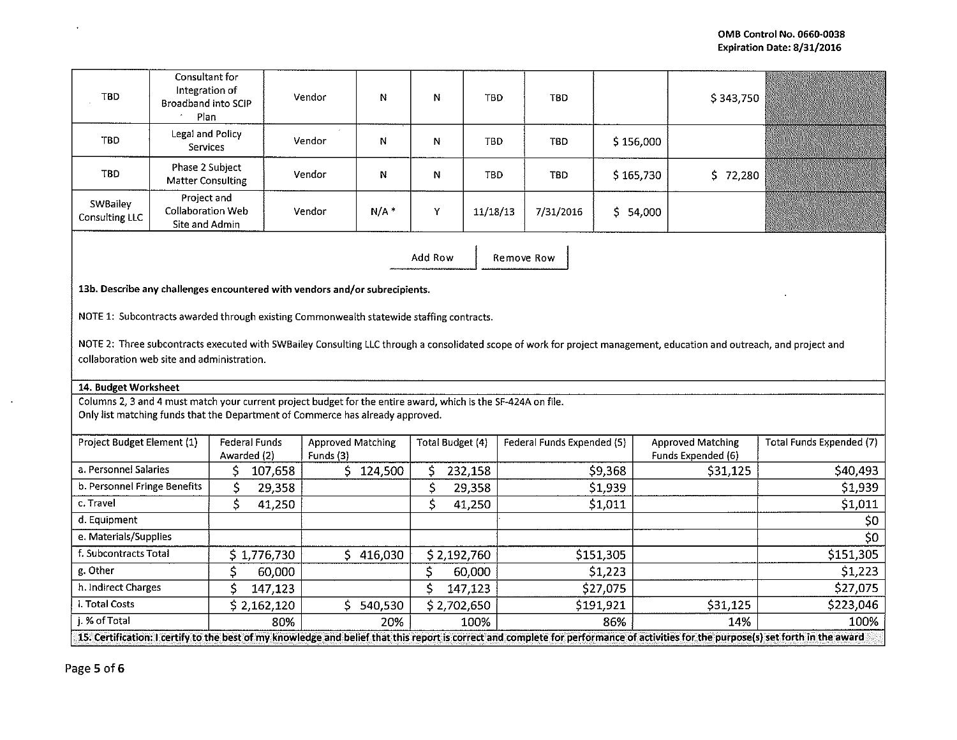| TBD.                       | Consultant for<br>Integration of<br>Broadband into SCIP<br>Plan | Vendor | N   | N | <b>TBD</b> | <b>TBD</b> |              | \$343,750 |  |
|----------------------------|-----------------------------------------------------------------|--------|-----|---|------------|------------|--------------|-----------|--|
| TBD                        | Legal and Policy<br><b>Services</b>                             | Vendor | N   | N | TBD        | TBD        | \$156,000    |           |  |
| TBD                        | Phase 2 Subject<br>Matter Consulting                            | Vendor | Ν   | N | TBD        | <b>TBD</b> | \$165,730    | \$72,280  |  |
| SWBailey<br>Consulting LLC | Project and<br>Collaboration Web<br>Site and Admin              | Vendor | N/A | Y | 11/18/13   | 7/31/2016  | 54,000<br>S. |           |  |

Add Row | Remove Row

13b. Describe any challenges encountered with vendors and/or subrecipients.

NOTE 1: Subcontracts awarded through existing Commonwealth statewide staffing contracts.

NOTE 2: Three subcontracts executed with SWBailey Consulting LLC through a consolidated scope of work for project management, education and outreach, and project and collaboration web site and administration.

## 14. Budget Worksheet

Columns 2, 3 and 4 must match your current project budget for the entire award, which is the SF-424A on file. Only list matching funds that the Department of Commerce has already approved.

| Project Budget Element (1)                                                                                                                                                           | Federal Funds<br>Awarded (2) | <b>Approved Matching</b><br>Funds (3) | Total Budget (4) | Federal Funds Expended (5) | <b>Approved Matching</b><br>Funds Expended (6) | Total Funds Expended (7) |  |
|--------------------------------------------------------------------------------------------------------------------------------------------------------------------------------------|------------------------------|---------------------------------------|------------------|----------------------------|------------------------------------------------|--------------------------|--|
|                                                                                                                                                                                      |                              |                                       |                  |                            |                                                |                          |  |
| a. Personnel Salaries                                                                                                                                                                | 107,658                      | 124,500                               | 232,158          | \$9,368                    | \$31,125                                       | \$40,493                 |  |
| b. Personnel Fringe Benefits                                                                                                                                                         | 29,358                       |                                       | 29,358           | \$1,939                    |                                                | \$1,939                  |  |
| c. Travel                                                                                                                                                                            | 41,250                       |                                       | 41,250           | \$1,011                    |                                                | \$1,011                  |  |
| d. Equipment                                                                                                                                                                         |                              |                                       |                  |                            |                                                | \$0                      |  |
| e. Materials/Supplies                                                                                                                                                                |                              |                                       |                  |                            |                                                | \$0                      |  |
| f. Subcontracts Total                                                                                                                                                                | \$1,776,730                  | 416,030                               | \$2,192,760      | \$151,305                  |                                                | \$151,305                |  |
| g. Other                                                                                                                                                                             | 60,000                       |                                       | 60,000           | \$1,223                    |                                                | \$1,223                  |  |
| h. Indirect Charges                                                                                                                                                                  | 147,123                      |                                       | 147,123          | \$27,075                   |                                                | \$27,075                 |  |
| i. Total Costs                                                                                                                                                                       | \$2,162,120                  | 540,530                               | \$2,702,650      | \$191,921                  | \$31,125                                       | \$223,046                |  |
| i. % of Total                                                                                                                                                                        | 80%                          | 20%                                   | 100%             | 86%                        | 14%                                            | 100%                     |  |
| 15. Certification: I certify to the best of my knowledge and belief that this report is correct and complete for performance of activities for the purpose(s) set forth in the award |                              |                                       |                  |                            |                                                |                          |  |